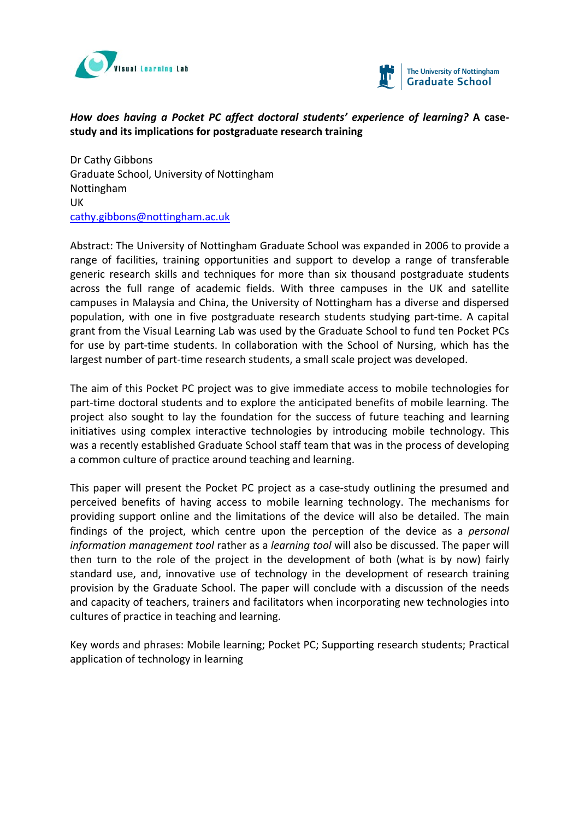



# *How does having a Pocket PC affect doctoral students' experience of learning?* **A case‐ study and its implications for postgraduate research training**

Dr Cathy Gibbons Graduate School, University of Nottingham Nottingham UK cathy.gibbons@nottingham.ac.uk

Abstract: The University of Nottingham Graduate School was expanded in 2006 to provide a range of facilities, training opportunities and support to develop a range of transferable generic research skills and techniques for more than six thousand postgraduate students across the full range of academic fields. With three campuses in the UK and satellite campuses in Malaysia and China, the University of Nottingham has a diverse and dispersed population, with one in five postgraduate research students studying part‐time. A capital grant from the Visual Learning Lab was used by the Graduate School to fund ten Pocket PCs for use by part-time students. In collaboration with the School of Nursing, which has the largest number of part‐time research students, a small scale project was developed.

The aim of this Pocket PC project was to give immediate access to mobile technologies for part-time doctoral students and to explore the anticipated benefits of mobile learning. The project also sought to lay the foundation for the success of future teaching and learning initiatives using complex interactive technologies by introducing mobile technology. This was a recently established Graduate School staff team that was in the process of developing a common culture of practice around teaching and learning.

This paper will present the Pocket PC project as a case-study outlining the presumed and perceived benefits of having access to mobile learning technology. The mechanisms for providing support online and the limitations of the device will also be detailed. The main findings of the project, which centre upon the perception of the device as a *personal information management tool* rather as a *learning tool* will also be discussed. The paper will then turn to the role of the project in the development of both (what is by now) fairly standard use, and, innovative use of technology in the development of research training provision by the Graduate School. The paper will conclude with a discussion of the needs and capacity of teachers, trainers and facilitators when incorporating new technologies into cultures of practice in teaching and learning.

Key words and phrases: Mobile learning; Pocket PC; Supporting research students; Practical application of technology in learning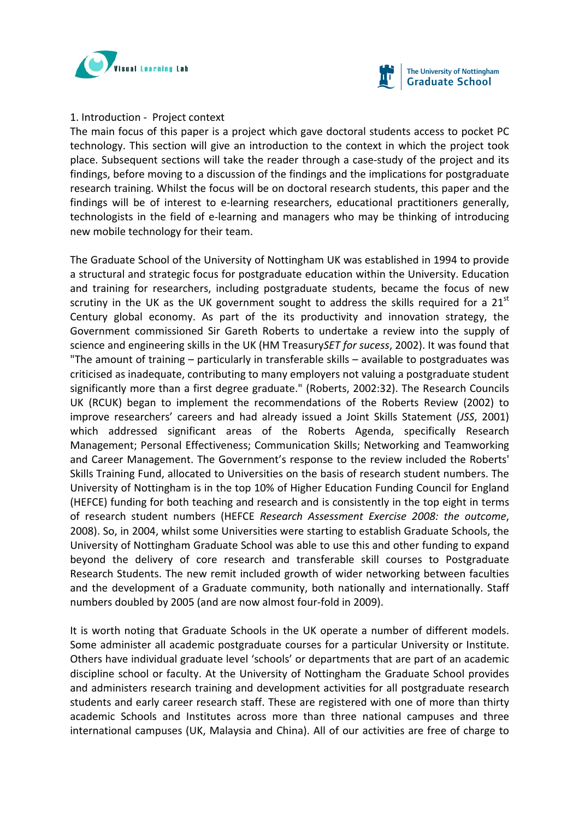



#### 1. Introduction ‐ Project context

The main focus of this paper is a project which gave doctoral students access to pocket PC technology. This section will give an introduction to the context in which the project took place. Subsequent sections will take the reader through a case‐study of the project and its findings, before moving to a discussion of the findings and the implications for postgraduate research training. Whilst the focus will be on doctoral research students, this paper and the findings will be of interest to e-learning researchers, educational practitioners generally, technologists in the field of e‐learning and managers who may be thinking of introducing new mobile technology for their team.

The Graduate School of the University of Nottingham UK was established in 1994 to provide a structural and strategic focus for postgraduate education within the University. Education and training for researchers, including postgraduate students, became the focus of new scrutiny in the UK as the UK government sought to address the skills required for a  $21<sup>st</sup>$ Century global economy. As part of the its productivity and innovation strategy, the Government commissioned Sir Gareth Roberts to undertake a review into the supply of science and engineering skills in the UK (HM Treasury*SET for sucess*, 2002). It was found that "The amount of training – particularly in transferable skills – available to postgraduates was criticised as inadequate, contributing to many employers not valuing a postgraduate student significantly more than a first degree graduate." (Roberts, 2002:32). The Research Councils UK (RCUK) began to implement the recommendations of the Roberts Review (2002) to improve researchers' careers and had already issued a Joint Skills Statement (*JSS*, 2001) which addressed significant areas of the Roberts Agenda, specifically Research Management; Personal Effectiveness; Communication Skills; Networking and Teamworking and Career Management. The Government's response to the review included the Roberts' Skills Training Fund, allocated to Universities on the basis of research student numbers. The University of Nottingham is in the top 10% of Higher Education Funding Council for England (HEFCE) funding for both teaching and research and is consistently in the top eight in terms of research student numbers (HEFCE *Research Assessment Exercise 2008: the outcome*, 2008). So, in 2004, whilst some Universities were starting to establish Graduate Schools, the University of Nottingham Graduate School was able to use this and other funding to expand beyond the delivery of core research and transferable skill courses to Postgraduate Research Students. The new remit included growth of wider networking between faculties and the development of a Graduate community, both nationally and internationally. Staff numbers doubled by 2005 (and are now almost four‐fold in 2009).

It is worth noting that Graduate Schools in the UK operate a number of different models. Some administer all academic postgraduate courses for a particular University or Institute. Others have individual graduate level 'schools' or departments that are part of an academic discipline school or faculty. At the University of Nottingham the Graduate School provides and administers research training and development activities for all postgraduate research students and early career research staff. These are registered with one of more than thirty academic Schools and Institutes across more than three national campuses and three international campuses (UK, Malaysia and China). All of our activities are free of charge to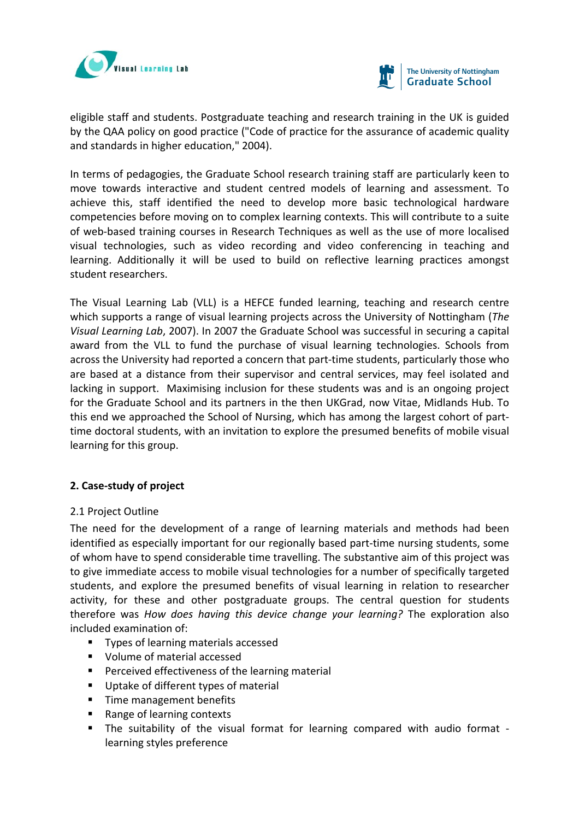



eligible staff and students. Postgraduate teaching and research training in the UK is guided by the QAA policy on good practice ("Code of practice for the assurance of academic quality and standards in higher education," 2004).

In terms of pedagogies, the Graduate School research training staff are particularly keen to move towards interactive and student centred models of learning and assessment. To achieve this, staff identified the need to develop more basic technological hardware competencies before moving on to complex learning contexts. This will contribute to a suite of web‐based training courses in Research Techniques as well as the use of more localised visual technologies, such as video recording and video conferencing in teaching and learning. Additionally it will be used to build on reflective learning practices amongst student researchers.

The Visual Learning Lab (VLL) is a HEFCE funded learning, teaching and research centre which supports a range of visual learning projects across the University of Nottingham (*The Visual Learning Lab*, 2007). In 2007 the Graduate School was successful in securing a capital award from the VLL to fund the purchase of visual learning technologies. Schools from across the University had reported a concern that part‐time students, particularly those who are based at a distance from their supervisor and central services, may feel isolated and lacking in support. Maximising inclusion for these students was and is an ongoing project for the Graduate School and its partners in the then UKGrad, now Vitae, Midlands Hub. To this end we approached the School of Nursing, which has among the largest cohort of part‐ time doctoral students, with an invitation to explore the presumed benefits of mobile visual learning for this group.

# **2. Case‐study of project**

## 2.1 Project Outline

The need for the development of a range of learning materials and methods had been identified as especially important for our regionally based part‐time nursing students, some of whom have to spend considerable time travelling. The substantive aim of this project was to give immediate access to mobile visual technologies for a number of specifically targeted students, and explore the presumed benefits of visual learning in relation to researcher activity, for these and other postgraduate groups. The central question for students therefore was *How does having this device change your learning?* The exploration also included examination of:

- **Types of learning materials accessed**
- Volume of material accessed
- **Perceived effectiveness of the learning material**
- Uptake of different types of material
- **Time management benefits**
- Range of learning contexts
- The suitability of the visual format for learning compared with audio format learning styles preference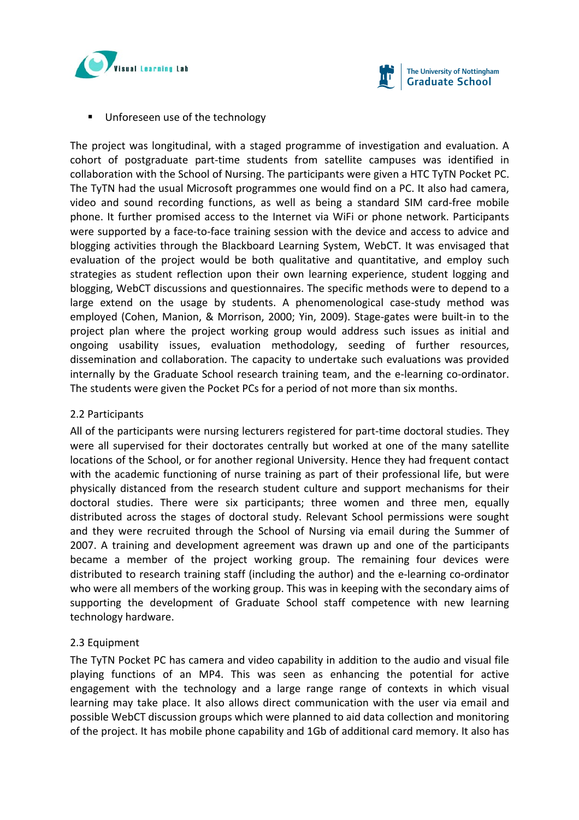



**Unforeseen use of the technology** 

The project was longitudinal, with a staged programme of investigation and evaluation. A cohort of postgraduate part‐time students from satellite campuses was identified in collaboration with the School of Nursing. The participants were given a HTC TyTN Pocket PC. The TyTN had the usual Microsoft programmes one would find on a PC. It also had camera, video and sound recording functions, as well as being a standard SIM card‐free mobile phone. It further promised access to the Internet via WiFi or phone network. Participants were supported by a face-to-face training session with the device and access to advice and blogging activities through the Blackboard Learning System, WebCT. It was envisaged that evaluation of the project would be both qualitative and quantitative, and employ such strategies as student reflection upon their own learning experience, student logging and blogging, WebCT discussions and questionnaires. The specific methods were to depend to a large extend on the usage by students. A phenomenological case-study method was employed (Cohen, Manion, & Morrison, 2000; Yin, 2009). Stage-gates were built-in to the project plan where the project working group would address such issues as initial and ongoing usability issues, evaluation methodology, seeding of further resources, dissemination and collaboration. The capacity to undertake such evaluations was provided internally by the Graduate School research training team, and the e-learning co-ordinator. The students were given the Pocket PCs for a period of not more than six months.

## 2.2 Participants

All of the participants were nursing lecturers registered for part‐time doctoral studies. They were all supervised for their doctorates centrally but worked at one of the many satellite locations of the School, or for another regional University. Hence they had frequent contact with the academic functioning of nurse training as part of their professional life, but were physically distanced from the research student culture and support mechanisms for their doctoral studies. There were six participants; three women and three men, equally distributed across the stages of doctoral study. Relevant School permissions were sought and they were recruited through the School of Nursing via email during the Summer of 2007. A training and development agreement was drawn up and one of the participants became a member of the project working group. The remaining four devices were distributed to research training staff (including the author) and the e‐learning co‐ordinator who were all members of the working group. This was in keeping with the secondary aims of supporting the development of Graduate School staff competence with new learning technology hardware.

# 2.3 Equipment

The TyTN Pocket PC has camera and video capability in addition to the audio and visual file playing functions of an MP4. This was seen as enhancing the potential for active engagement with the technology and a large range range of contexts in which visual learning may take place. It also allows direct communication with the user via email and possible WebCT discussion groups which were planned to aid data collection and monitoring of the project. It has mobile phone capability and 1Gb of additional card memory. It also has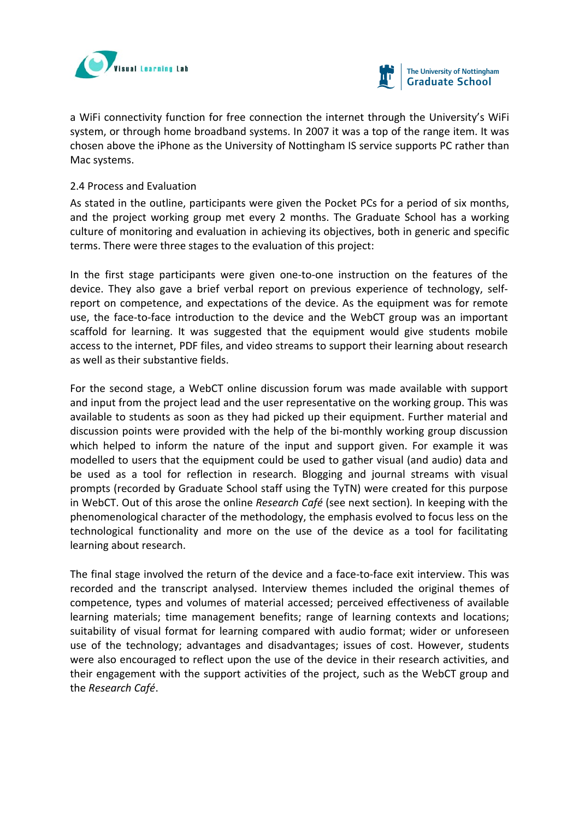



a WiFi connectivity function for free connection the internet through the University's WiFi system, or through home broadband systems. In 2007 it was a top of the range item. It was chosen above the iPhone as the University of Nottingham IS service supports PC rather than Mac systems.

## 2.4 Process and Evaluation

As stated in the outline, participants were given the Pocket PCs for a period of six months, and the project working group met every 2 months. The Graduate School has a working culture of monitoring and evaluation in achieving its objectives, both in generic and specific terms. There were three stages to the evaluation of this project:

In the first stage participants were given one-to-one instruction on the features of the device. They also gave a brief verbal report on previous experience of technology, self‐ report on competence, and expectations of the device. As the equipment was for remote use, the face-to-face introduction to the device and the WebCT group was an important scaffold for learning. It was suggested that the equipment would give students mobile access to the internet, PDF files, and video streams to support their learning about research as well as their substantive fields.

For the second stage, a WebCT online discussion forum was made available with support and input from the project lead and the user representative on the working group. This was available to students as soon as they had picked up their equipment. Further material and discussion points were provided with the help of the bi‐monthly working group discussion which helped to inform the nature of the input and support given. For example it was modelled to users that the equipment could be used to gather visual (and audio) data and be used as a tool for reflection in research. Blogging and journal streams with visual prompts (recorded by Graduate School staff using the TyTN) were created for this purpose in WebCT. Out of this arose the online *Research Café* (see next section)*.* In keeping with the phenomenological character of the methodology, the emphasis evolved to focus less on the technological functionality and more on the use of the device as a tool for facilitating learning about research.

The final stage involved the return of the device and a face-to-face exit interview. This was recorded and the transcript analysed. Interview themes included the original themes of competence, types and volumes of material accessed; perceived effectiveness of available learning materials; time management benefits; range of learning contexts and locations; suitability of visual format for learning compared with audio format; wider or unforeseen use of the technology; advantages and disadvantages; issues of cost. However, students were also encouraged to reflect upon the use of the device in their research activities, and their engagement with the support activities of the project, such as the WebCT group and the *Research Café*.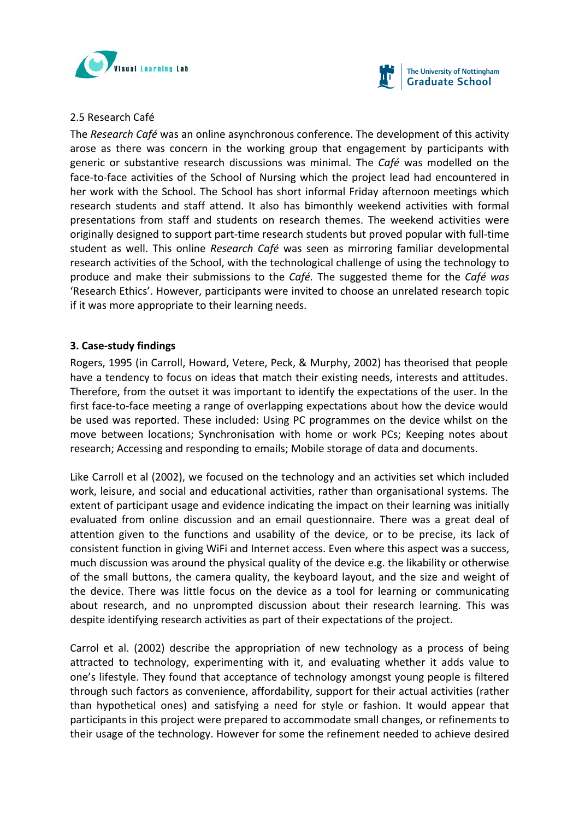



## 2.5 Research Café

The *Research Café* was an online asynchronous conference. The development of this activity arose as there was concern in the working group that engagement by participants with generic or substantive research discussions was minimal. The *Café* was modelled on the face-to-face activities of the School of Nursing which the project lead had encountered in her work with the School. The School has short informal Friday afternoon meetings which research students and staff attend. It also has bimonthly weekend activities with formal presentations from staff and students on research themes. The weekend activities were originally designed to support part‐time research students but proved popular with full‐time student as well. This online *Research Café* was seen as mirroring familiar developmental research activities of the School, with the technological challenge of using the technology to produce and make their submissions to the *Café.* The suggested theme for the *Café was* 'Research Ethics'. However, participants were invited to choose an unrelated research topic if it was more appropriate to their learning needs.

## **3. Case‐study findings**

Rogers, 1995 (in Carroll, Howard, Vetere, Peck, & Murphy, 2002) has theorised that people have a tendency to focus on ideas that match their existing needs, interests and attitudes. Therefore, from the outset it was important to identify the expectations of the user. In the first face-to-face meeting a range of overlapping expectations about how the device would be used was reported. These included: Using PC programmes on the device whilst on the move between locations; Synchronisation with home or work PCs; Keeping notes about research; Accessing and responding to emails; Mobile storage of data and documents.

Like Carroll et al (2002), we focused on the technology and an activities set which included work, leisure, and social and educational activities, rather than organisational systems. The extent of participant usage and evidence indicating the impact on their learning was initially evaluated from online discussion and an email questionnaire. There was a great deal of attention given to the functions and usability of the device, or to be precise, its lack of consistent function in giving WiFi and Internet access. Even where this aspect was a success, much discussion was around the physical quality of the device e.g. the likability or otherwise of the small buttons, the camera quality, the keyboard layout, and the size and weight of the device. There was little focus on the device as a tool for learning or communicating about research, and no unprompted discussion about their research learning. This was despite identifying research activities as part of their expectations of the project.

Carrol et al. (2002) describe the appropriation of new technology as a process of being attracted to technology, experimenting with it, and evaluating whether it adds value to one's lifestyle. They found that acceptance of technology amongst young people is filtered through such factors as convenience, affordability, support for their actual activities (rather than hypothetical ones) and satisfying a need for style or fashion. It would appear that participants in this project were prepared to accommodate small changes, or refinements to their usage of the technology. However for some the refinement needed to achieve desired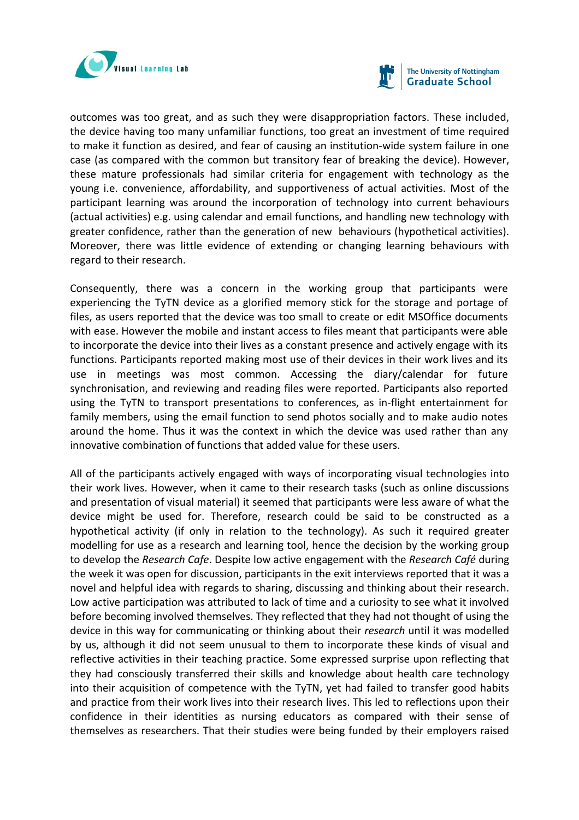



outcomes was too great, and as such they were disappropriation factors. These included, the device having too many unfamiliar functions, too great an investment of time required to make it function as desired, and fear of causing an institution‐wide system failure in one case (as compared with the common but transitory fear of breaking the device). However, these mature professionals had similar criteria for engagement with technology as the young i.e. convenience, affordability, and supportiveness of actual activities. Most of the participant learning was around the incorporation of technology into current behaviours (actual activities) e.g. using calendar and email functions, and handling new technology with greater confidence, rather than the generation of new behaviours (hypothetical activities). Moreover, there was little evidence of extending or changing learning behaviours with regard to their research.

Consequently, there was a concern in the working group that participants were experiencing the TyTN device as a glorified memory stick for the storage and portage of files, as users reported that the device was too small to create or edit MSOffice documents with ease. However the mobile and instant access to files meant that participants were able to incorporate the device into their lives as a constant presence and actively engage with its functions. Participants reported making most use of their devices in their work lives and its use in meetings was most common. Accessing the diary/calendar for future synchronisation, and reviewing and reading files were reported. Participants also reported using the TyTN to transport presentations to conferences, as in‐flight entertainment for family members, using the email function to send photos socially and to make audio notes around the home. Thus it was the context in which the device was used rather than any innovative combination of functions that added value for these users.

All of the participants actively engaged with ways of incorporating visual technologies into their work lives. However, when it came to their research tasks (such as online discussions and presentation of visual material) it seemed that participants were less aware of what the device might be used for. Therefore, research could be said to be constructed as a hypothetical activity (if only in relation to the technology). As such it required greater modelling for use as a research and learning tool, hence the decision by the working group to develop the *Research Cafe*. Despite low active engagement with the *Research Café* during the week it was open for discussion, participants in the exit interviews reported that it was a novel and helpful idea with regards to sharing, discussing and thinking about their research. Low active participation was attributed to lack of time and a curiosity to see what it involved before becoming involved themselves. They reflected that they had not thought of using the device in this way for communicating or thinking about their *research* until it was modelled by us, although it did not seem unusual to them to incorporate these kinds of visual and reflective activities in their teaching practice. Some expressed surprise upon reflecting that they had consciously transferred their skills and knowledge about health care technology into their acquisition of competence with the TyTN, yet had failed to transfer good habits and practice from their work lives into their research lives. This led to reflections upon their confidence in their identities as nursing educators as compared with their sense of themselves as researchers. That their studies were being funded by their employers raised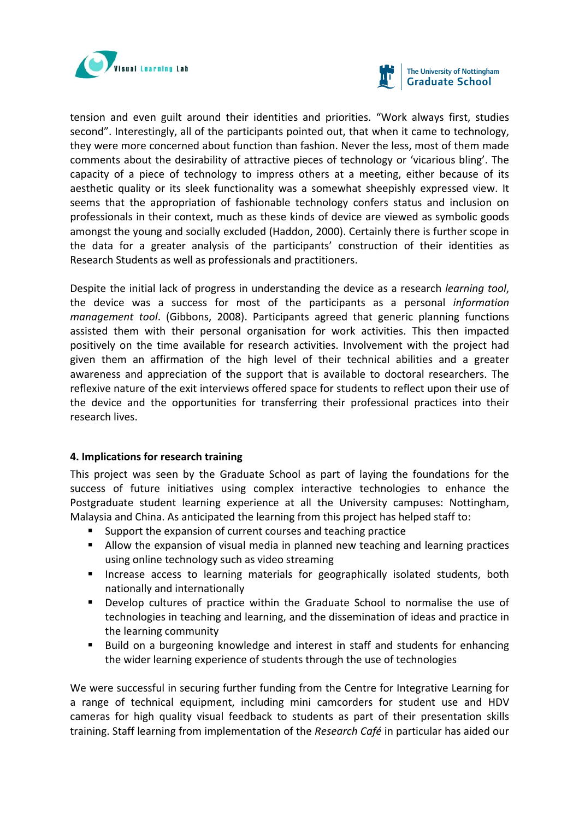



tension and even guilt around their identities and priorities. "Work always first, studies second". Interestingly, all of the participants pointed out, that when it came to technology, they were more concerned about function than fashion. Never the less, most of them made comments about the desirability of attractive pieces of technology or 'vicarious bling'. The capacity of a piece of technology to impress others at a meeting, either because of its aesthetic quality or its sleek functionality was a somewhat sheepishly expressed view. It seems that the appropriation of fashionable technology confers status and inclusion on professionals in their context, much as these kinds of device are viewed as symbolic goods amongst the young and socially excluded (Haddon, 2000). Certainly there is further scope in the data for a greater analysis of the participants' construction of their identities as Research Students as well as professionals and practitioners.

Despite the initial lack of progress in understanding the device as a research *learning tool*, the device was a success for most of the participants as a personal *information management tool*. (Gibbons, 2008). Participants agreed that generic planning functions assisted them with their personal organisation for work activities. This then impacted positively on the time available for research activities. Involvement with the project had given them an affirmation of the high level of their technical abilities and a greater awareness and appreciation of the support that is available to doctoral researchers. The reflexive nature of the exit interviews offered space for students to reflect upon their use of the device and the opportunities for transferring their professional practices into their research lives.

## **4. Implications for research training**

This project was seen by the Graduate School as part of laying the foundations for the success of future initiatives using complex interactive technologies to enhance the Postgraduate student learning experience at all the University campuses: Nottingham, Malaysia and China. As anticipated the learning from this project has helped staff to:

- Support the expansion of current courses and teaching practice
- Allow the expansion of visual media in planned new teaching and learning practices using online technology such as video streaming
- **Increase access to learning materials for geographically isolated students, both** nationally and internationally
- Develop cultures of practice within the Graduate School to normalise the use of technologies in teaching and learning, and the dissemination of ideas and practice in the learning community
- Build on a burgeoning knowledge and interest in staff and students for enhancing the wider learning experience of students through the use of technologies

We were successful in securing further funding from the Centre for Integrative Learning for a range of technical equipment, including mini camcorders for student use and HDV cameras for high quality visual feedback to students as part of their presentation skills training. Staff learning from implementation of the *Research Café* in particular has aided our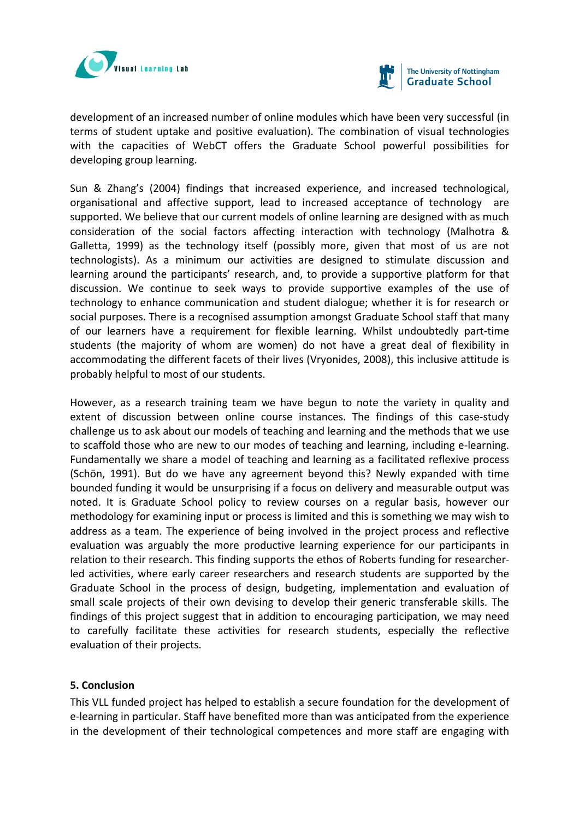



development of an increased number of online modules which have been very successful (in terms of student uptake and positive evaluation). The combination of visual technologies with the capacities of WebCT offers the Graduate School powerful possibilities for developing group learning.

Sun & Zhang's (2004) findings that increased experience, and increased technological, organisational and affective support, lead to increased acceptance of technology are supported. We believe that our current models of online learning are designed with as much consideration of the social factors affecting interaction with technology (Malhotra & Galletta, 1999) as the technology itself (possibly more, given that most of us are not technologists). As a minimum our activities are designed to stimulate discussion and learning around the participants' research, and, to provide a supportive platform for that discussion. We continue to seek ways to provide supportive examples of the use of technology to enhance communication and student dialogue; whether it is for research or social purposes. There is a recognised assumption amongst Graduate School staff that many of our learners have a requirement for flexible learning. Whilst undoubtedly part‐time students (the majority of whom are women) do not have a great deal of flexibility in accommodating the different facets of their lives (Vryonides, 2008), this inclusive attitude is probably helpful to most of our students.

However, as a research training team we have begun to note the variety in quality and extent of discussion between online course instances. The findings of this case-study challenge us to ask about our models of teaching and learning and the methods that we use to scaffold those who are new to our modes of teaching and learning, including e‐learning. Fundamentally we share a model of teaching and learning as a facilitated reflexive process (Schön, 1991). But do we have any agreement beyond this? Newly expanded with time bounded funding it would be unsurprising if a focus on delivery and measurable output was noted. It is Graduate School policy to review courses on a regular basis, however our methodology for examining input or process is limited and this is something we may wish to address as a team. The experience of being involved in the project process and reflective evaluation was arguably the more productive learning experience for our participants in relation to their research. This finding supports the ethos of Roberts funding for researcher‐ led activities, where early career researchers and research students are supported by the Graduate School in the process of design, budgeting, implementation and evaluation of small scale projects of their own devising to develop their generic transferable skills. The findings of this project suggest that in addition to encouraging participation, we may need to carefully facilitate these activities for research students, especially the reflective evaluation of their projects.

## **5. Conclusion**

This VLL funded project has helped to establish a secure foundation for the development of e‐learning in particular. Staff have benefited more than was anticipated from the experience in the development of their technological competences and more staff are engaging with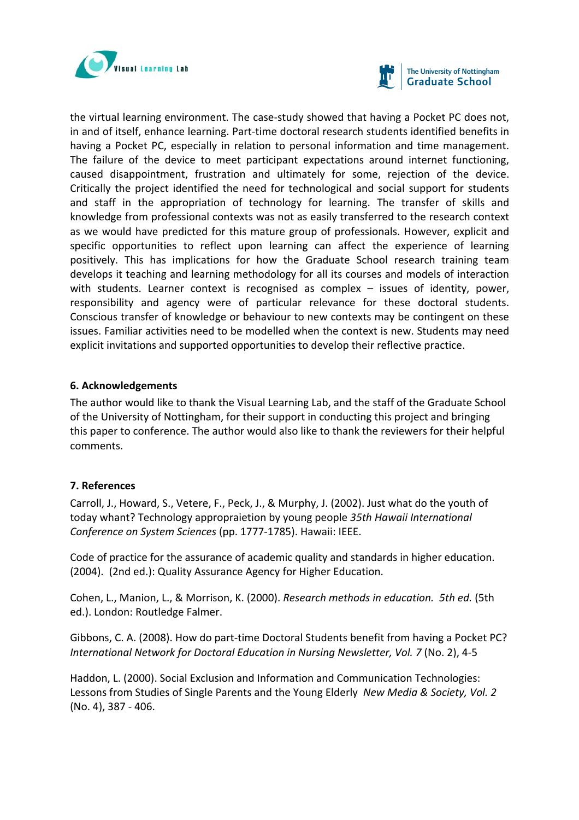



the virtual learning environment. The case‐study showed that having a Pocket PC does not, in and of itself, enhance learning. Part-time doctoral research students identified benefits in having a Pocket PC, especially in relation to personal information and time management. The failure of the device to meet participant expectations around internet functioning, caused disappointment, frustration and ultimately for some, rejection of the device. Critically the project identified the need for technological and social support for students and staff in the appropriation of technology for learning. The transfer of skills and knowledge from professional contexts was not as easily transferred to the research context as we would have predicted for this mature group of professionals. However, explicit and specific opportunities to reflect upon learning can affect the experience of learning positively. This has implications for how the Graduate School research training team develops it teaching and learning methodology for all its courses and models of interaction with students. Learner context is recognised as complex – issues of identity, power, responsibility and agency were of particular relevance for these doctoral students. Conscious transfer of knowledge or behaviour to new contexts may be contingent on these issues. Familiar activities need to be modelled when the context is new. Students may need explicit invitations and supported opportunities to develop their reflective practice.

## **6. Acknowledgements**

The author would like to thank the Visual Learning Lab, and the staff of the Graduate School of the University of Nottingham, for their support in conducting this project and bringing this paper to conference. The author would also like to thank the reviewers for their helpful comments.

# **7. References**

Carroll, J., Howard, S., Vetere, F., Peck, J., & Murphy, J. (2002). Just what do the youth of today whant? Technology appropraietion by young people *35th Hawaii International Conference on System Sciences* (pp. 1777‐1785). Hawaii: IEEE.

Code of practice for the assurance of academic quality and standards in higher education. (2004). (2nd ed.): Quality Assurance Agency for Higher Education.

Cohen, L., Manion, L., & Morrison, K. (2000). *Research methods in education. 5th ed.* (5th ed.). London: Routledge Falmer.

Gibbons, C. A. (2008). How do part‐time Doctoral Students benefit from having a Pocket PC? *International Network for Doctoral Education in Nursing Newsletter, Vol. 7* (No. 2), 4‐5

Haddon, L. (2000). Social Exclusion and Information and Communication Technologies: Lessons from Studies of Single Parents and the Young Elderly *New Media & Society, Vol. 2* (No. 4), 387 ‐ 406.